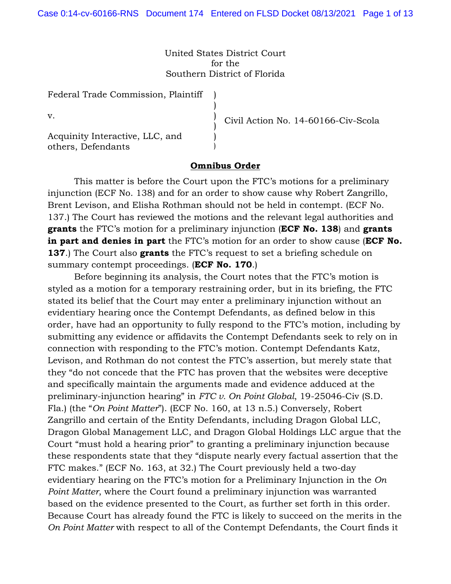United States District Court for the Southern District of Florida

> ) ) ) ) ) )

Federal Trade Commission, Plaintiff

v.

Acquinity Interactive, LLC, and others, Defendants

Civil Action No. 14-60166-Civ-Scola

## **Omnibus Order**

This matter is before the Court upon the FTC's motions for a preliminary injunction (ECF No. 138) and for an order to show cause why Robert Zangrillo, Brent Levison, and Elisha Rothman should not be held in contempt. (ECF No. 137.) The Court has reviewed the motions and the relevant legal authorities and **grants** the FTC's motion for a preliminary injunction (**ECF No. 138**) and **grants in part and denies in part** the FTC's motion for an order to show cause (**ECF No. 137**.) The Court also **grants** the FTC's request to set a briefing schedule on summary contempt proceedings. (**ECF No. 170**.)

Before beginning its analysis, the Court notes that the FTC's motion is styled as a motion for a temporary restraining order, but in its briefing, the FTC stated its belief that the Court may enter a preliminary injunction without an evidentiary hearing once the Contempt Defendants, as defined below in this order, have had an opportunity to fully respond to the FTC's motion, including by submitting any evidence or affidavits the Contempt Defendants seek to rely on in connection with responding to the FTC's motion. Contempt Defendants Katz, Levison, and Rothman do not contest the FTC's assertion, but merely state that they "do not concede that the FTC has proven that the websites were deceptive and specifically maintain the arguments made and evidence adduced at the preliminary-injunction hearing" in *FTC v. On Point Global*, 19-25046-Civ (S.D. Fla.) (the "*On Point Matter*"). (ECF No. 160, at 13 n.5.) Conversely, Robert Zangrillo and certain of the Entity Defendants, including Dragon Global LLC, Dragon Global Management LLC, and Dragon Global Holdings LLC argue that the Court "must hold a hearing prior" to granting a preliminary injunction because these respondents state that they "dispute nearly every factual assertion that the FTC makes." (ECF No. 163, at 32.) The Court previously held a two-day evidentiary hearing on the FTC's motion for a Preliminary Injunction in the *On Point Matter*, where the Court found a preliminary injunction was warranted based on the evidence presented to the Court, as further set forth in this order. Because Court has already found the FTC is likely to succeed on the merits in the *On Point Matter* with respect to all of the Contempt Defendants, the Court finds it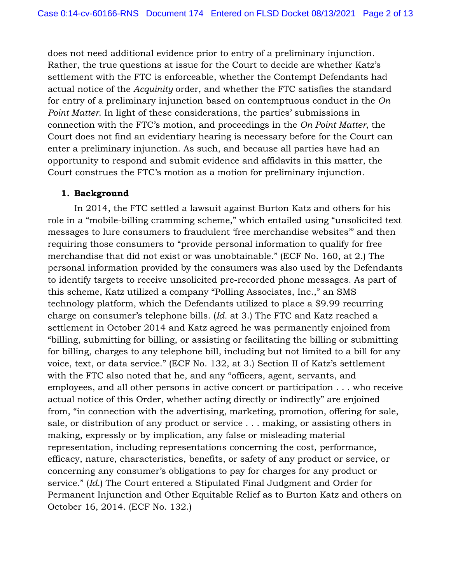does not need additional evidence prior to entry of a preliminary injunction. Rather, the true questions at issue for the Court to decide are whether Katz's settlement with the FTC is enforceable, whether the Contempt Defendants had actual notice of the *Acquinity* order, and whether the FTC satisfies the standard for entry of a preliminary injunction based on contemptuous conduct in the *On Point Matter*. In light of these considerations, the parties' submissions in connection with the FTC's motion, and proceedings in the *On Point Matter*, the Court does not find an evidentiary hearing is necessary before for the Court can enter a preliminary injunction. As such, and because all parties have had an opportunity to respond and submit evidence and affidavits in this matter, the Court construes the FTC's motion as a motion for preliminary injunction.

# **1. Background**

In 2014, the FTC settled a lawsuit against Burton Katz and others for his role in a "mobile-billing cramming scheme," which entailed using "unsolicited text messages to lure consumers to fraudulent 'free merchandise websites'" and then requiring those consumers to "provide personal information to qualify for free merchandise that did not exist or was unobtainable." (ECF No. 160, at 2.) The personal information provided by the consumers was also used by the Defendants to identify targets to receive unsolicited pre-recorded phone messages. As part of this scheme, Katz utilized a company "Polling Associates, Inc.," an SMS technology platform, which the Defendants utilized to place a \$9.99 recurring charge on consumer's telephone bills. (*Id.* at 3.) The FTC and Katz reached a settlement in October 2014 and Katz agreed he was permanently enjoined from "billing, submitting for billing, or assisting or facilitating the billing or submitting for billing, charges to any telephone bill, including but not limited to a bill for any voice, text, or data service." (ECF No. 132, at 3.) Section II of Katz's settlement with the FTC also noted that he, and any "officers, agent, servants, and employees, and all other persons in active concert or participation . . . who receive actual notice of this Order, whether acting directly or indirectly" are enjoined from, "in connection with the advertising, marketing, promotion, offering for sale, sale, or distribution of any product or service . . . making, or assisting others in making, expressly or by implication, any false or misleading material representation, including representations concerning the cost, performance, efficacy, nature, characteristics, benefits, or safety of any product or service, or concerning any consumer's obligations to pay for charges for any product or service." (*Id.*) The Court entered a Stipulated Final Judgment and Order for Permanent Injunction and Other Equitable Relief as to Burton Katz and others on October 16, 2014. (ECF No. 132.)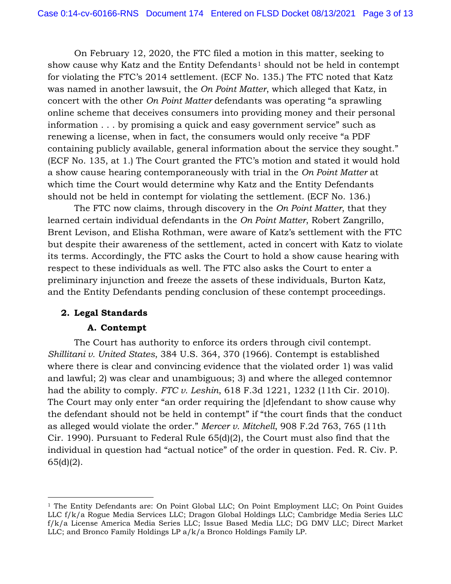On February 12, 2020, the FTC filed a motion in this matter, seeking to show cause why Katz and the Entity Defendants<sup>1</sup> should not be held in contempt for violating the FTC's 2014 settlement. (ECF No. 135.) The FTC noted that Katz was named in another lawsuit, the *On Point Matter*, which alleged that Katz, in concert with the other *On Point Matter* defendants was operating "a sprawling online scheme that deceives consumers into providing money and their personal information . . . by promising a quick and easy government service" such as renewing a license, when in fact, the consumers would only receive "a PDF containing publicly available, general information about the service they sought." (ECF No. 135, at 1.) The Court granted the FTC's motion and stated it would hold a show cause hearing contemporaneously with trial in the *On Point Matter* at which time the Court would determine why Katz and the Entity Defendants should not be held in contempt for violating the settlement. (ECF No. 136.)

The FTC now claims, through discovery in the *On Point Matter*, that they learned certain individual defendants in the *On Point Matter*, Robert Zangrillo, Brent Levison, and Elisha Rothman, were aware of Katz's settlement with the FTC but despite their awareness of the settlement, acted in concert with Katz to violate its terms. Accordingly, the FTC asks the Court to hold a show cause hearing with respect to these individuals as well. The FTC also asks the Court to enter a preliminary injunction and freeze the assets of these individuals, Burton Katz, and the Entity Defendants pending conclusion of these contempt proceedings.

# **2. Legal Standards**

# **A. Contempt**

The Court has authority to enforce its orders through civil contempt. *Shillitani v. United States*, 384 U.S. 364, 370 (1966). Contempt is established where there is clear and convincing evidence that the violated order 1) was valid and lawful; 2) was clear and unambiguous; 3) and where the alleged contemnor had the ability to comply. *FTC v. Leshin*, 618 F.3d 1221, 1232 (11th Cir. 2010). The Court may only enter "an order requiring the [d]efendant to show cause why the defendant should not be held in contempt" if "the court finds that the conduct as alleged would violate the order." *Mercer v. Mitchell*, 908 F.2d 763, 765 (11th Cir. 1990). Pursuant to Federal Rule 65(d)(2), the Court must also find that the individual in question had "actual notice" of the order in question. Fed. R. Civ. P. 65(d)(2).

<sup>&</sup>lt;sup>1</sup> The Entity Defendants are: On Point Global LLC; On Point Employment LLC; On Point Guides LLC f/k/a Rogue Media Services LLC; Dragon Global Holdings LLC; Cambridge Media Series LLC f/k/a License America Media Series LLC; Issue Based Media LLC; DG DMV LLC; Direct Market LLC; and Bronco Family Holdings LP a/k/a Bronco Holdings Family LP.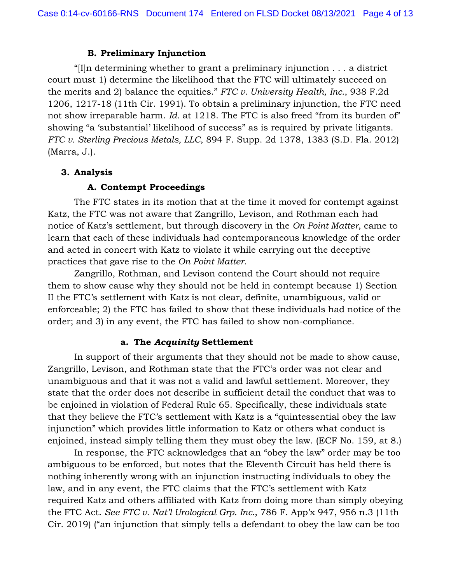### **B. Preliminary Injunction**

"[I]n determining whether to grant a preliminary injunction . . . a district court must 1) determine the likelihood that the FTC will ultimately succeed on the merits and 2) balance the equities." *FTC v. University Health, Inc.*, 938 F.2d 1206, 1217-18 (11th Cir. 1991). To obtain a preliminary injunction, the FTC need not show irreparable harm. *Id.* at 1218. The FTC is also freed "from its burden of" showing "a 'substantial' likelihood of success" as is required by private litigants. *FTC v. Sterling Precious Metals, LLC*, 894 F. Supp. 2d 1378, 1383 (S.D. Fla. 2012) (Marra, J.).

## **3. Analysis**

### **A. Contempt Proceedings**

The FTC states in its motion that at the time it moved for contempt against Katz, the FTC was not aware that Zangrillo, Levison, and Rothman each had notice of Katz's settlement, but through discovery in the *On Point Matter*, came to learn that each of these individuals had contemporaneous knowledge of the order and acted in concert with Katz to violate it while carrying out the deceptive practices that gave rise to the *On Point Matter*.

Zangrillo, Rothman, and Levison contend the Court should not require them to show cause why they should not be held in contempt because 1) Section II the FTC's settlement with Katz is not clear, definite, unambiguous, valid or enforceable; 2) the FTC has failed to show that these individuals had notice of the order; and 3) in any event, the FTC has failed to show non-compliance.

# **a. The** *Acquinity* **Settlement**

In support of their arguments that they should not be made to show cause, Zangrillo, Levison, and Rothman state that the FTC's order was not clear and unambiguous and that it was not a valid and lawful settlement. Moreover, they state that the order does not describe in sufficient detail the conduct that was to be enjoined in violation of Federal Rule 65. Specifically, these individuals state that they believe the FTC's settlement with Katz is a "quintessential obey the law injunction" which provides little information to Katz or others what conduct is enjoined, instead simply telling them they must obey the law. (ECF No. 159, at 8.)

In response, the FTC acknowledges that an "obey the law" order may be too ambiguous to be enforced, but notes that the Eleventh Circuit has held there is nothing inherently wrong with an injunction instructing individuals to obey the law, and in any event, the FTC claims that the FTC's settlement with Katz required Katz and others affiliated with Katz from doing more than simply obeying the FTC Act. *See FTC v. Nat'l Urological Grp. Inc.*, 786 F. App'x 947, 956 n.3 (11th Cir. 2019) ("an injunction that simply tells a defendant to obey the law can be too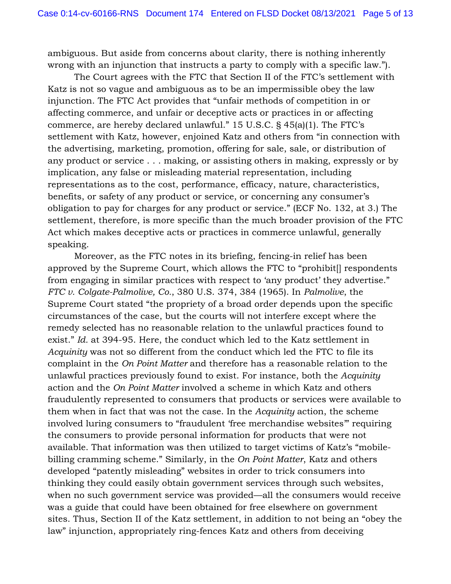ambiguous. But aside from concerns about clarity, there is nothing inherently wrong with an injunction that instructs a party to comply with a specific law.").

The Court agrees with the FTC that Section II of the FTC's settlement with Katz is not so vague and ambiguous as to be an impermissible obey the law injunction. The FTC Act provides that "unfair methods of competition in or affecting commerce, and unfair or deceptive acts or practices in or affecting commerce, are hereby declared unlawful." 15 U.S.C. § 45(a)(1). The FTC's settlement with Katz, however, enjoined Katz and others from "in connection with the advertising, marketing, promotion, offering for sale, sale, or distribution of any product or service . . . making, or assisting others in making, expressly or by implication, any false or misleading material representation, including representations as to the cost, performance, efficacy, nature, characteristics, benefits, or safety of any product or service, or concerning any consumer's obligation to pay for charges for any product or service." (ECF No. 132, at 3.) The settlement, therefore, is more specific than the much broader provision of the FTC Act which makes deceptive acts or practices in commerce unlawful, generally speaking.

Moreover, as the FTC notes in its briefing, fencing-in relief has been approved by the Supreme Court, which allows the FTC to "prohibit[] respondents from engaging in similar practices with respect to 'any product' they advertise." *FTC v. Colgate-Palmolive, Co.*, 380 U.S. 374, 384 (1965). In *Palmolive*, the Supreme Court stated "the propriety of a broad order depends upon the specific circumstances of the case, but the courts will not interfere except where the remedy selected has no reasonable relation to the unlawful practices found to exist." *Id.* at 394-95. Here, the conduct which led to the Katz settlement in *Acquinity* was not so different from the conduct which led the FTC to file its complaint in the *On Point Matter* and therefore has a reasonable relation to the unlawful practices previously found to exist. For instance, both the *Acquinity*  action and the *On Point Matter* involved a scheme in which Katz and others fraudulently represented to consumers that products or services were available to them when in fact that was not the case. In the *Acquinity* action, the scheme involved luring consumers to "fraudulent 'free merchandise websites'" requiring the consumers to provide personal information for products that were not available. That information was then utilized to target victims of Katz's "mobilebilling cramming scheme." Similarly, in the *On Point Matter*, Katz and others developed "patently misleading" websites in order to trick consumers into thinking they could easily obtain government services through such websites, when no such government service was provided—all the consumers would receive was a guide that could have been obtained for free elsewhere on government sites. Thus, Section II of the Katz settlement, in addition to not being an "obey the law" injunction, appropriately ring-fences Katz and others from deceiving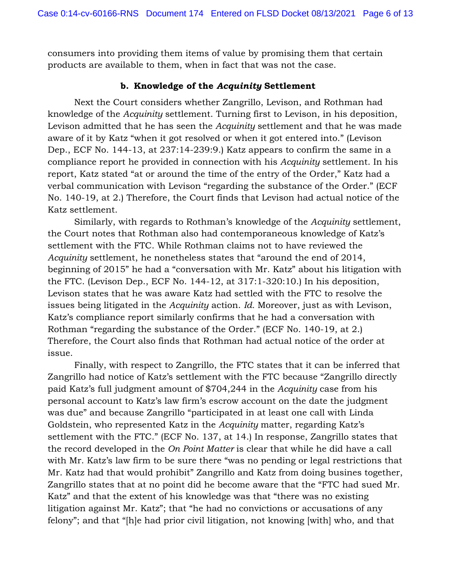consumers into providing them items of value by promising them that certain products are available to them, when in fact that was not the case.

### **b. Knowledge of the** *Acquinity* **Settlement**

Next the Court considers whether Zangrillo, Levison, and Rothman had knowledge of the *Acquinity* settlement. Turning first to Levison, in his deposition, Levison admitted that he has seen the *Acquinity* settlement and that he was made aware of it by Katz "when it got resolved or when it got entered into." (Levison Dep., ECF No. 144-13, at 237:14-239:9.) Katz appears to confirm the same in a compliance report he provided in connection with his *Acquinity* settlement. In his report, Katz stated "at or around the time of the entry of the Order," Katz had a verbal communication with Levison "regarding the substance of the Order." (ECF No. 140-19, at 2.) Therefore, the Court finds that Levison had actual notice of the Katz settlement.

Similarly, with regards to Rothman's knowledge of the *Acquinity* settlement, the Court notes that Rothman also had contemporaneous knowledge of Katz's settlement with the FTC. While Rothman claims not to have reviewed the *Acquinity* settlement, he nonetheless states that "around the end of 2014, beginning of 2015" he had a "conversation with Mr. Katz" about his litigation with the FTC. (Levison Dep., ECF No. 144-12, at 317:1-320:10.) In his deposition, Levison states that he was aware Katz had settled with the FTC to resolve the issues being litigated in the *Acquinity* action. *Id.* Moreover, just as with Levison, Katz's compliance report similarly confirms that he had a conversation with Rothman "regarding the substance of the Order." (ECF No. 140-19, at 2.) Therefore, the Court also finds that Rothman had actual notice of the order at issue.

Finally, with respect to Zangrillo, the FTC states that it can be inferred that Zangrillo had notice of Katz's settlement with the FTC because "Zangrillo directly paid Katz's full judgment amount of \$704,244 in the *Acquinity* case from his personal account to Katz's law firm's escrow account on the date the judgment was due" and because Zangrillo "participated in at least one call with Linda Goldstein, who represented Katz in the *Acquinity* matter, regarding Katz's settlement with the FTC." (ECF No. 137, at 14.) In response, Zangrillo states that the record developed in the *On Point Matter* is clear that while he did have a call with Mr. Katz's law firm to be sure there "was no pending or legal restrictions that Mr. Katz had that would prohibit" Zangrillo and Katz from doing busines together, Zangrillo states that at no point did he become aware that the "FTC had sued Mr. Katz" and that the extent of his knowledge was that "there was no existing litigation against Mr. Katz"; that "he had no convictions or accusations of any felony"; and that "[h]e had prior civil litigation, not knowing [with] who, and that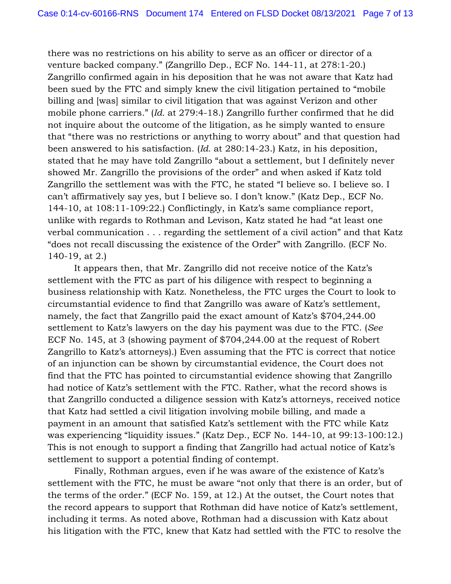there was no restrictions on his ability to serve as an officer or director of a venture backed company." (Zangrillo Dep., ECF No. 144-11, at 278:1-20.) Zangrillo confirmed again in his deposition that he was not aware that Katz had been sued by the FTC and simply knew the civil litigation pertained to "mobile billing and [was] similar to civil litigation that was against Verizon and other mobile phone carriers." (*Id.* at 279:4-18.) Zangrillo further confirmed that he did not inquire about the outcome of the litigation, as he simply wanted to ensure that "there was no restrictions or anything to worry about" and that question had been answered to his satisfaction. (*Id.* at 280:14-23.) Katz, in his deposition, stated that he may have told Zangrillo "about a settlement, but I definitely never showed Mr. Zangrillo the provisions of the order" and when asked if Katz told Zangrillo the settlement was with the FTC, he stated "I believe so. I believe so. I can't affirmatively say yes, but I believe so. I don't know." (Katz Dep., ECF No. 144-10, at 108:11-109:22.) Conflictingly, in Katz's same compliance report, unlike with regards to Rothman and Levison, Katz stated he had "at least one verbal communication . . . regarding the settlement of a civil action" and that Katz "does not recall discussing the existence of the Order" with Zangrillo. (ECF No. 140-19, at 2.)

It appears then, that Mr. Zangrillo did not receive notice of the Katz's settlement with the FTC as part of his diligence with respect to beginning a business relationship with Katz. Nonetheless, the FTC urges the Court to look to circumstantial evidence to find that Zangrillo was aware of Katz's settlement, namely, the fact that Zangrillo paid the exact amount of Katz's \$704,244.00 settlement to Katz's lawyers on the day his payment was due to the FTC. (*See*  ECF No. 145, at 3 (showing payment of \$704,244.00 at the request of Robert Zangrillo to Katz's attorneys).) Even assuming that the FTC is correct that notice of an injunction can be shown by circumstantial evidence, the Court does not find that the FTC has pointed to circumstantial evidence showing that Zangrillo had notice of Katz's settlement with the FTC. Rather, what the record shows is that Zangrillo conducted a diligence session with Katz's attorneys, received notice that Katz had settled a civil litigation involving mobile billing, and made a payment in an amount that satisfied Katz's settlement with the FTC while Katz was experiencing "liquidity issues." (Katz Dep., ECF No. 144-10, at 99:13-100:12.) This is not enough to support a finding that Zangrillo had actual notice of Katz's settlement to support a potential finding of contempt.

Finally, Rothman argues, even if he was aware of the existence of Katz's settlement with the FTC, he must be aware "not only that there is an order, but of the terms of the order." (ECF No. 159, at 12.) At the outset, the Court notes that the record appears to support that Rothman did have notice of Katz's settlement, including it terms. As noted above, Rothman had a discussion with Katz about his litigation with the FTC, knew that Katz had settled with the FTC to resolve the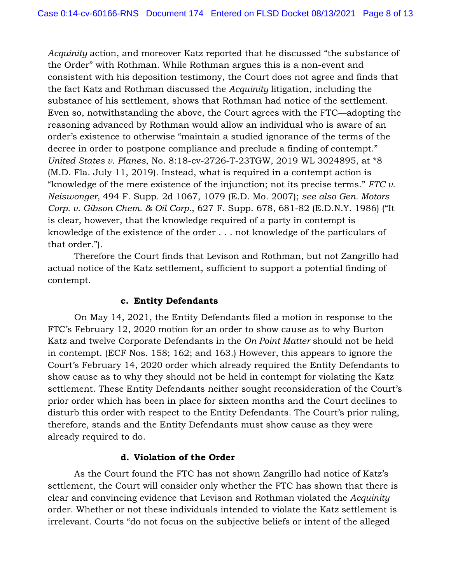*Acquinity* action, and moreover Katz reported that he discussed "the substance of the Order" with Rothman. While Rothman argues this is a non-event and consistent with his deposition testimony, the Court does not agree and finds that the fact Katz and Rothman discussed the *Acquinity* litigation, including the substance of his settlement, shows that Rothman had notice of the settlement. Even so, notwithstanding the above, the Court agrees with the FTC—adopting the reasoning advanced by Rothman would allow an individual who is aware of an order's existence to otherwise "maintain a studied ignorance of the terms of the decree in order to postpone compliance and preclude a finding of contempt." *United States v. Planes*, No. 8:18-cv-2726-T-23TGW, 2019 WL 3024895, at \*8 (M.D. Fla. July 11, 2019). Instead, what is required in a contempt action is "knowledge of the mere existence of the injunction; not its precise terms." *FTC v. Neiswonger*, 494 F. Supp. 2d 1067, 1079 (E.D. Mo. 2007); *see also Gen. Motors Corp. v. Gibson Chem. & Oil Corp.*, 627 F. Supp. 678, 681-82 (E.D.N.Y. 1986) ("It is clear, however, that the knowledge required of a party in contempt is knowledge of the existence of the order . . . not knowledge of the particulars of that order.").

Therefore the Court finds that Levison and Rothman, but not Zangrillo had actual notice of the Katz settlement, sufficient to support a potential finding of contempt.

# **c. Entity Defendants**

On May 14, 2021, the Entity Defendants filed a motion in response to the FTC's February 12, 2020 motion for an order to show cause as to why Burton Katz and twelve Corporate Defendants in the *On Point Matter* should not be held in contempt. (ECF Nos. 158; 162; and 163.) However, this appears to ignore the Court's February 14, 2020 order which already required the Entity Defendants to show cause as to why they should not be held in contempt for violating the Katz settlement. These Entity Defendants neither sought reconsideration of the Court's prior order which has been in place for sixteen months and the Court declines to disturb this order with respect to the Entity Defendants. The Court's prior ruling, therefore, stands and the Entity Defendants must show cause as they were already required to do.

### **d. Violation of the Order**

As the Court found the FTC has not shown Zangrillo had notice of Katz's settlement, the Court will consider only whether the FTC has shown that there is clear and convincing evidence that Levison and Rothman violated the *Acquinity* order. Whether or not these individuals intended to violate the Katz settlement is irrelevant. Courts "do not focus on the subjective beliefs or intent of the alleged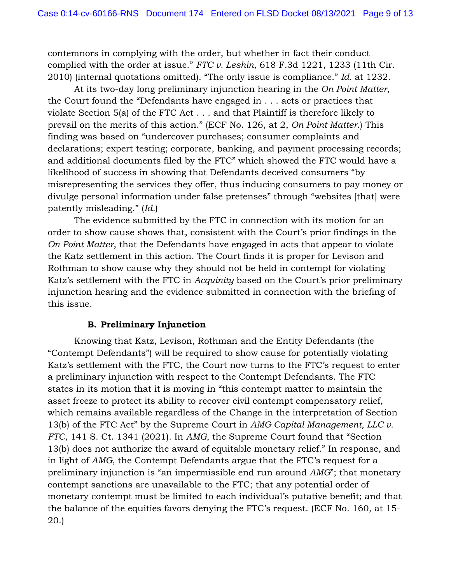contemnors in complying with the order, but whether in fact their conduct complied with the order at issue." *FTC v. Leshin*, 618 F.3d 1221, 1233 (11th Cir. 2010) (internal quotations omitted). "The only issue is compliance." *Id.* at 1232.

At its two-day long preliminary injunction hearing in the *On Point Matter*, the Court found the "Defendants have engaged in . . . acts or practices that violate Section 5(a) of the FTC Act . . . and that Plaintiff is therefore likely to prevail on the merits of this action." (ECF No. 126, at 2, *On Point Matter*.) This finding was based on "undercover purchases; consumer complaints and declarations; expert testing; corporate, banking, and payment processing records; and additional documents filed by the FTC" which showed the FTC would have a likelihood of success in showing that Defendants deceived consumers "by misrepresenting the services they offer, thus inducing consumers to pay money or divulge personal information under false pretenses" through "websites [that] were patently misleading." (*Id.*)

The evidence submitted by the FTC in connection with its motion for an order to show cause shows that, consistent with the Court's prior findings in the *On Point Matter*, that the Defendants have engaged in acts that appear to violate the Katz settlement in this action. The Court finds it is proper for Levison and Rothman to show cause why they should not be held in contempt for violating Katz's settlement with the FTC in *Acquinity* based on the Court's prior preliminary injunction hearing and the evidence submitted in connection with the briefing of this issue.

# **B. Preliminary Injunction**

Knowing that Katz, Levison, Rothman and the Entity Defendants (the "Contempt Defendants") will be required to show cause for potentially violating Katz's settlement with the FTC, the Court now turns to the FTC's request to enter a preliminary injunction with respect to the Contempt Defendants. The FTC states in its motion that it is moving in "this contempt matter to maintain the asset freeze to protect its ability to recover civil contempt compensatory relief, which remains available regardless of the Change in the interpretation of Section 13(b) of the FTC Act" by the Supreme Court in *AMG Capital Management, LLC v. FTC*, 141 S. Ct. 1341 (2021). In *AMG*, the Supreme Court found that "Section 13(b) does not authorize the award of equitable monetary relief." In response, and in light of *AMG*, the Contempt Defendants argue that the FTC's request for a preliminary injunction is "an impermissible end run around *AMG*"; that monetary contempt sanctions are unavailable to the FTC; that any potential order of monetary contempt must be limited to each individual's putative benefit; and that the balance of the equities favors denying the FTC's request. (ECF No. 160, at 15- 20.)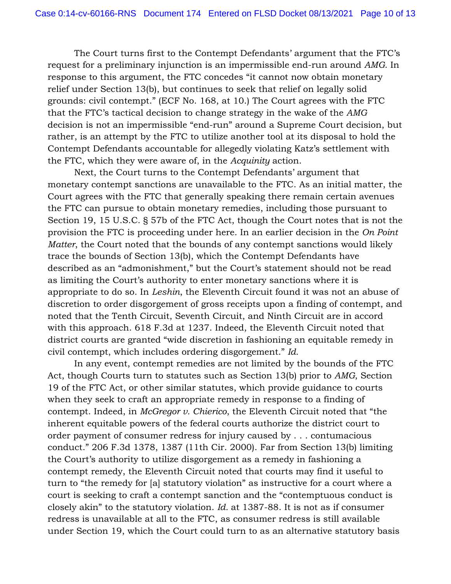The Court turns first to the Contempt Defendants' argument that the FTC's request for a preliminary injunction is an impermissible end-run around *AMG*. In response to this argument, the FTC concedes "it cannot now obtain monetary relief under Section 13(b), but continues to seek that relief on legally solid grounds: civil contempt." (ECF No. 168, at 10.) The Court agrees with the FTC that the FTC's tactical decision to change strategy in the wake of the *AMG*  decision is not an impermissible "end-run" around a Supreme Court decision, but rather, is an attempt by the FTC to utilize another tool at its disposal to hold the Contempt Defendants accountable for allegedly violating Katz's settlement with the FTC, which they were aware of, in the *Acquinity* action.

Next, the Court turns to the Contempt Defendants' argument that monetary contempt sanctions are unavailable to the FTC. As an initial matter, the Court agrees with the FTC that generally speaking there remain certain avenues the FTC can pursue to obtain monetary remedies, including those pursuant to Section 19, 15 U.S.C. § 57b of the FTC Act, though the Court notes that is not the provision the FTC is proceeding under here. In an earlier decision in the *On Point Matter*, the Court noted that the bounds of any contempt sanctions would likely trace the bounds of Section 13(b), which the Contempt Defendants have described as an "admonishment," but the Court's statement should not be read as limiting the Court's authority to enter monetary sanctions where it is appropriate to do so. In *Leshin*, the Eleventh Circuit found it was not an abuse of discretion to order disgorgement of gross receipts upon a finding of contempt, and noted that the Tenth Circuit, Seventh Circuit, and Ninth Circuit are in accord with this approach. 618 F.3d at 1237. Indeed, the Eleventh Circuit noted that district courts are granted "wide discretion in fashioning an equitable remedy in civil contempt, which includes ordering disgorgement." *Id.* 

In any event, contempt remedies are not limited by the bounds of the FTC Act, though Courts turn to statutes such as Section 13(b) prior to *AMG*, Section 19 of the FTC Act, or other similar statutes, which provide guidance to courts when they seek to craft an appropriate remedy in response to a finding of contempt. Indeed, in *McGregor v. Chierico*, the Eleventh Circuit noted that "the inherent equitable powers of the federal courts authorize the district court to order payment of consumer redress for injury caused by . . . contumacious conduct." 206 F.3d 1378, 1387 (11th Cir. 2000). Far from Section 13(b) limiting the Court's authority to utilize disgorgement as a remedy in fashioning a contempt remedy, the Eleventh Circuit noted that courts may find it useful to turn to "the remedy for [a] statutory violation" as instructive for a court where a court is seeking to craft a contempt sanction and the "contemptuous conduct is closely akin" to the statutory violation. *Id.* at 1387-88. It is not as if consumer redress is unavailable at all to the FTC, as consumer redress is still available under Section 19, which the Court could turn to as an alternative statutory basis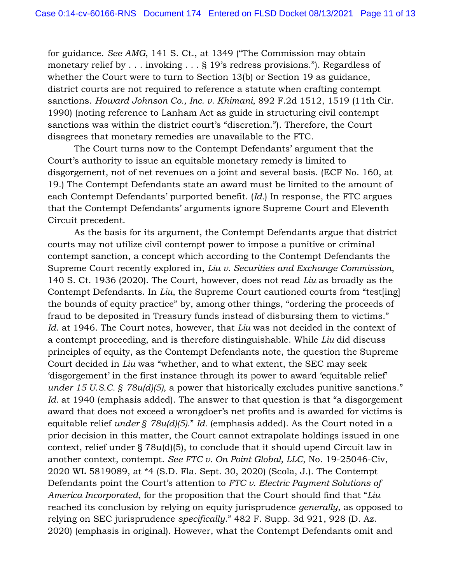for guidance. *See AMG*, 141 S. Ct., at 1349 ("The Commission may obtain monetary relief by . . . invoking . . . § 19's redress provisions."). Regardless of whether the Court were to turn to Section 13(b) or Section 19 as guidance, district courts are not required to reference a statute when crafting contempt sanctions. *Howard Johnson Co., Inc. v. Khimani*, 892 F.2d 1512, 1519 (11th Cir. 1990) (noting reference to Lanham Act as guide in structuring civil contempt sanctions was within the district court's "discretion."). Therefore, the Court disagrees that monetary remedies are unavailable to the FTC.

The Court turns now to the Contempt Defendants' argument that the Court's authority to issue an equitable monetary remedy is limited to disgorgement, not of net revenues on a joint and several basis. (ECF No. 160, at 19.) The Contempt Defendants state an award must be limited to the amount of each Contempt Defendants' purported benefit. (*Id.*) In response, the FTC argues that the Contempt Defendants' arguments ignore Supreme Court and Eleventh Circuit precedent.

As the basis for its argument, the Contempt Defendants argue that district courts may not utilize civil contempt power to impose a punitive or criminal contempt sanction, a concept which according to the Contempt Defendants the Supreme Court recently explored in, *Liu v. Securities and Exchange Commission*, 140 S. Ct. 1936 (2020). The Court, however, does not read *Liu* as broadly as the Contempt Defendants. In *Liu*, the Supreme Court cautioned courts from "test[ing] the bounds of equity practice" by, among other things, "ordering the proceeds of fraud to be deposited in Treasury funds instead of disbursing them to victims." *Id*. at 1946. The Court notes, however, that *Liu* was not decided in the context of a contempt proceeding, and is therefore distinguishable. While *Liu* did discuss principles of equity, as the Contempt Defendants note, the question the Supreme Court decided in *Liu* was "whether, and to what extent, the SEC may seek 'disgorgement' in the first instance through its power to award 'equitable relief' *under 15 U.S.C. § 78u(d)(5)*, a power that historically excludes punitive sanctions." Id. at 1940 (emphasis added). The answer to that question is that "a disgorgement" award that does not exceed a wrongdoer's net profits and is awarded for victims is equitable relief *under § 78u(d)(5)*." *Id.* (emphasis added). As the Court noted in a prior decision in this matter, the Court cannot extrapolate holdings issued in one context, relief under § 78u(d)(5), to conclude that it should upend Circuit law in another context, contempt. *See FTC v. On Point Global, LLC*, No. 19-25046-Civ, 2020 WL 5819089, at \*4 (S.D. Fla. Sept. 30, 2020) (Scola, J.). The Contempt Defendants point the Court's attention to *FTC v. Electric Payment Solutions of America Incorporated*, for the proposition that the Court should find that "*Liu*  reached its conclusion by relying on equity jurisprudence *generally*, as opposed to relying on SEC jurisprudence *specifically*." 482 F. Supp. 3d 921, 928 (D. Az. 2020) (emphasis in original). However, what the Contempt Defendants omit and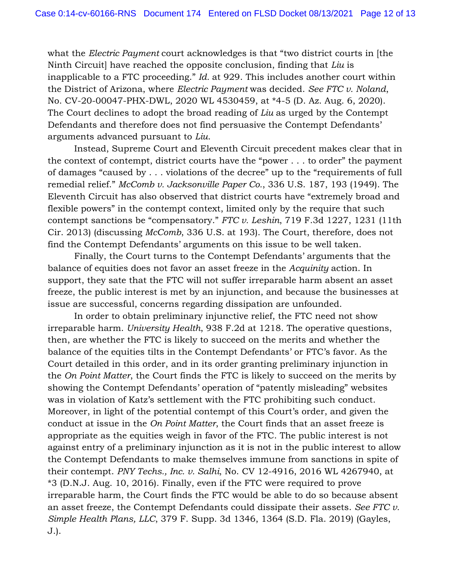what the *Electric Payment* court acknowledges is that "two district courts in [the Ninth Circuit] have reached the opposite conclusion, finding that *Liu* is inapplicable to a FTC proceeding." *Id.* at 929. This includes another court within the District of Arizona, where *Electric Payment* was decided. *See FTC v. Noland*, No. CV-20-00047-PHX-DWL, 2020 WL 4530459, at \*4-5 (D. Az. Aug. 6, 2020). The Court declines to adopt the broad reading of *Liu* as urged by the Contempt Defendants and therefore does not find persuasive the Contempt Defendants' arguments advanced pursuant to *Liu*.

Instead, Supreme Court and Eleventh Circuit precedent makes clear that in the context of contempt, district courts have the "power . . . to order" the payment of damages "caused by . . . violations of the decree" up to the "requirements of full remedial relief." *McComb v. Jacksonville Paper Co.*, 336 U.S. 187, 193 (1949). The Eleventh Circuit has also observed that district courts have "extremely broad and flexible powers" in the contempt context, limited only by the require that such contempt sanctions be "compensatory." *FTC v. Leshin*, 719 F.3d 1227, 1231 (11th Cir. 2013) (discussing *McComb*, 336 U.S. at 193). The Court, therefore, does not find the Contempt Defendants' arguments on this issue to be well taken.

Finally, the Court turns to the Contempt Defendants' arguments that the balance of equities does not favor an asset freeze in the *Acquinity* action. In support, they sate that the FTC will not suffer irreparable harm absent an asset freeze, the public interest is met by an injunction, and because the businesses at issue are successful, concerns regarding dissipation are unfounded.

In order to obtain preliminary injunctive relief, the FTC need not show irreparable harm. *University Health*, 938 F.2d at 1218. The operative questions, then, are whether the FTC is likely to succeed on the merits and whether the balance of the equities tilts in the Contempt Defendants' or FTC's favor. As the Court detailed in this order, and in its order granting preliminary injunction in the *On Point Matter*, the Court finds the FTC is likely to succeed on the merits by showing the Contempt Defendants' operation of "patently misleading" websites was in violation of Katz's settlement with the FTC prohibiting such conduct. Moreover, in light of the potential contempt of this Court's order, and given the conduct at issue in the *On Point Matter*, the Court finds that an asset freeze is appropriate as the equities weigh in favor of the FTC. The public interest is not against entry of a preliminary injunction as it is not in the public interest to allow the Contempt Defendants to make themselves immune from sanctions in spite of their contempt. *PNY Techs., Inc. v. Salhi*, No. CV 12-4916, 2016 WL 4267940, at \*3 (D.N.J. Aug. 10, 2016). Finally, even if the FTC were required to prove irreparable harm, the Court finds the FTC would be able to do so because absent an asset freeze, the Contempt Defendants could dissipate their assets. *See FTC v. Simple Health Plans, LLC*, 379 F. Supp. 3d 1346, 1364 (S.D. Fla. 2019) (Gayles, J.).